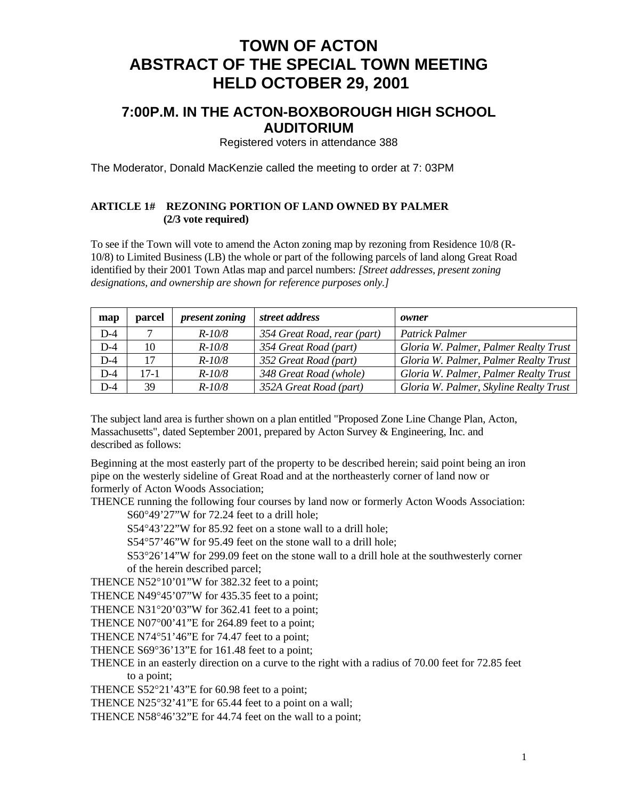## **TOWN OF ACTON ABSTRACT OF THE SPECIAL TOWN MEETING HELD OCTOBER 29, 2001**

### **7:00P.M. IN THE ACTON-BOXBOROUGH HIGH SCHOOL AUDITORIUM**

Registered voters in attendance 388

The Moderator, Donald MacKenzie called the meeting to order at 7: 03PM

#### **ARTICLE 1# REZONING PORTION OF LAND OWNED BY PALMER (2/3 vote required)**

To see if the Town will vote to amend the Acton zoning map by rezoning from Residence 10/8 (R-10/8) to Limited Business (LB) the whole or part of the following parcels of land along Great Road identified by their 2001 Town Atlas map and parcel numbers: *[Street addresses, present zoning designations, and ownership are shown for reference purposes only.]* 

| map   | parcel | present zoning | street address              | owner                                  |
|-------|--------|----------------|-----------------------------|----------------------------------------|
| $D-4$ |        | $R - 10/8$     | 354 Great Road, rear (part) | Patrick Palmer                         |
| $D-4$ | 10     | $R - 10/8$     | 354 Great Road (part)       | Gloria W. Palmer, Palmer Realty Trust  |
| $D-4$ | 17     | $R - 10/8$     | 352 Great Road (part)       | Gloria W. Palmer, Palmer Realty Trust  |
| $D-4$ | $17-1$ | $R - 10/8$     | 348 Great Road (whole)      | Gloria W. Palmer, Palmer Realty Trust  |
| $D-4$ | 39     | $R - 10/8$     | 352A Great Road (part)      | Gloria W. Palmer, Skyline Realty Trust |

The subject land area is further shown on a plan entitled "Proposed Zone Line Change Plan, Acton, Massachusetts", dated September 2001, prepared by Acton Survey & Engineering, Inc. and described as follows:

Beginning at the most easterly part of the property to be described herein; said point being an iron pipe on the westerly sideline of Great Road and at the northeasterly corner of land now or formerly of Acton Woods Association;

THENCE running the following four courses by land now or formerly Acton Woods Association:

S60°49'27"W for 72.24 feet to a drill hole;

S54°43'22"W for 85.92 feet on a stone wall to a drill hole;

S54°57'46"W for 95.49 feet on the stone wall to a drill hole;

S53°26'14"W for 299.09 feet on the stone wall to a drill hole at the southwesterly corner of the herein described parcel;

THENCE N52°10'01"W for 382.32 feet to a point;

THENCE N49°45'07"W for 435.35 feet to a point;

THENCE N31°20'03"W for 362.41 feet to a point;

THENCE N07°00'41"E for 264.89 feet to a point;

THENCE N74°51'46"E for 74.47 feet to a point;

THENCE S69°36'13"E for 161.48 feet to a point;

THENCE in an easterly direction on a curve to the right with a radius of 70.00 feet for 72.85 feet to a point;

THENCE S52°21'43"E for 60.98 feet to a point;

THENCE N25°32'41"E for 65.44 feet to a point on a wall;

THENCE N58°46'32"E for 44.74 feet on the wall to a point;